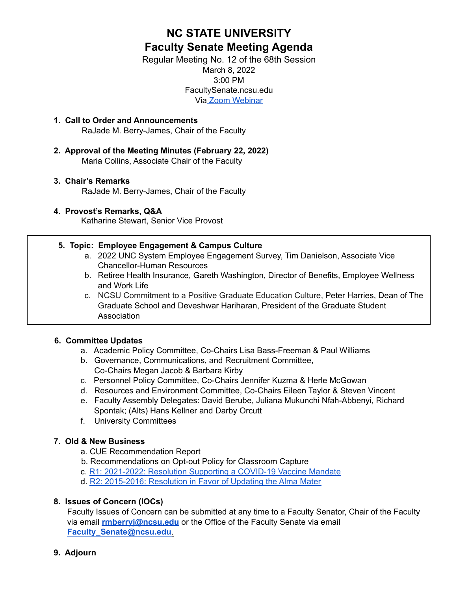# **NC STATE UNIVERSITY Faculty Senate Meeting Agenda**

Regular Meeting No. 12 of the 68th Session March 8, 2022 3:00 PM FacultySenate.ncsu.edu Via Zoom [Webinar](https://ncsu.zoom.us/webinar/register/WN_zfw35-RARHeID63HEw2muA)

- **1. Call to Order and Announcements** RaJade M. Berry-James, Chair of the Faculty
- **2. Approval of the Meeting Minutes (February 22, 2022)** Maria Collins, Associate Chair of the Faculty

# **3. Chair's Remarks**

RaJade M. Berry-James, Chair of the Faculty

# **4. Provost's Remarks, Q&A**

Katharine Stewart, Senior Vice Provost

# **5. Topic: Employee Engagement & Campus Culture**

- a. 2022 UNC System Employee Engagement Survey, Tim Danielson, Associate Vice Chancellor-Human Resources
- b. Retiree Health Insurance, Gareth Washington, Director of Benefits, Employee Wellness and Work Life
- c. NCSU Commitment to a Positive Graduate Education Culture, Peter Harries, Dean of The Graduate School and Deveshwar Hariharan, President of the Graduate Student Association

# **6. Committee Updates**

- a. Academic Policy Committee, Co-Chairs Lisa Bass-Freeman & Paul Williams
- b. Governance, Communications, and Recruitment Committee, Co-Chairs Megan Jacob & Barbara Kirby
- c. Personnel Policy Committee, Co-Chairs Jennifer Kuzma & Herle McGowan
- d. Resources and Environment Committee, Co-Chairs Eileen Taylor & Steven Vincent
- e. Faculty Assembly Delegates: David Berube, Juliana Mukunchi Nfah-Abbenyi, Richard Spontak; (Alts) Hans Kellner and Darby Orcutt
- f. University Committees

# **7. Old & New Business**

- a. CUE Recommendation Report
- b. Recommendations on Opt-out Policy for Classroom Capture
- c. R1: 2021-2022: Resolution Supporting a COVID-19 Vaccine Mandate
- d. R2: 2015-2016: Resolution in Favor of Updating the Alma Mater

# **8. Issues of Concern (IOCs)**

Faculty Issues of Concern can be submitted at any time to a Faculty Senator, Chair of the Faculty via email **rmberryj@ncsu.edu** or the Office of the Faculty Senate via email **Faculty\_Senate@ncsu.edu**.

### **9. Adjourn**